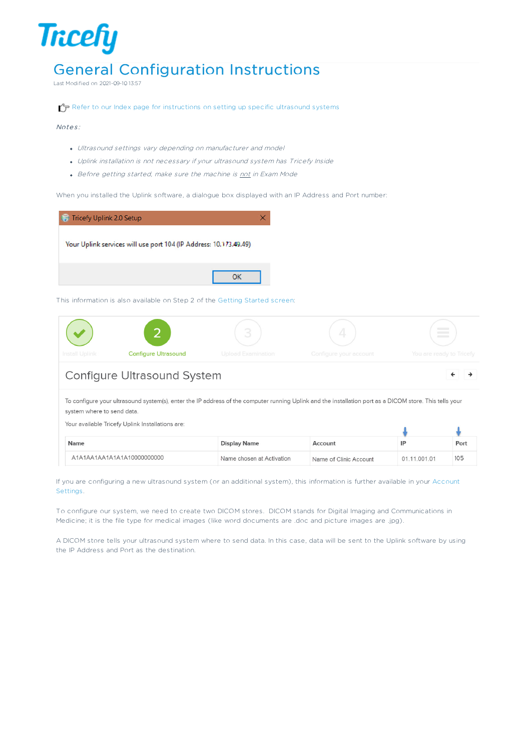# General Configuration Instructions

Last Modified on 2021-09-10 13:57

Refer to our Index page for instructions on setting up specific ultrasound systems

#### Notes:

**Tricefy** 

- Ultrasound settings vary depending on manufacturer and model
- Uplink installation is not necessary if your ultrasound system has Tricefy Inside
- Before getting started, make sure the machine is not in Exam Mode

When you installed the Uplink software, a dialogue box displayed with an IP Address and Port number:



This information is also available on Step 2 of the Getting Started screen:



 $\leftarrow$ د

## **Configure Ultrasound System**

To configure your ultrasound system(s), enter the IP address of the computer running Uplink and the installation port as a DICOM store. This tells your system where to send data.

Your available Tricefy Uplink Installations are:

| <b>Name</b>                | Display Name              | Account                |              | Port |
|----------------------------|---------------------------|------------------------|--------------|------|
| A1A1AA1AA1A1A1A10000000000 | Name chosen at Activation | Name of Clinic Account | 01.11.001.01 | 105  |

If you are configuring a new ultrasound system (or an additional system), this information is further available in your Account Settings.

To configure our system, we need to create two DICOM stores. DICOM stands for Digital Imaging and Communications in Medicine; it is the file type for medical images (like word documents are .doc and picture images are .jpg).

A DICOM store tells your ultrasound system where to send data. In this case, data will be sent to the Uplink software by using the IP Address and Port as the destination.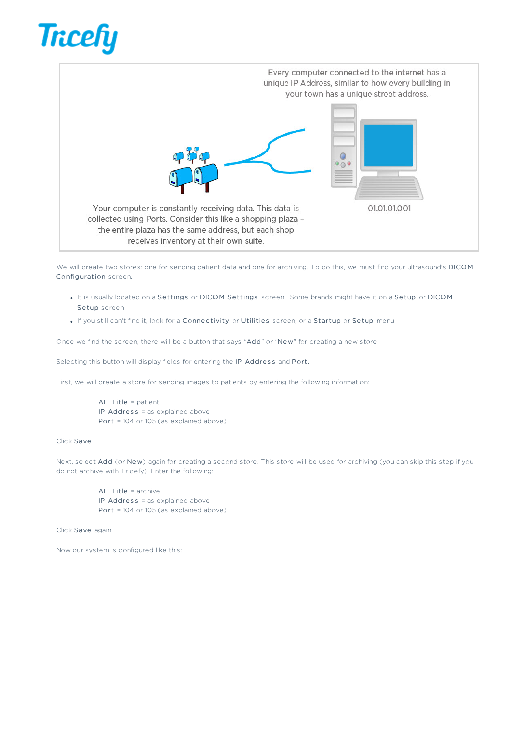



We will create two stores: one for sending patient data and one for archiving. To do this, we must find your ultrasound's DICOM Configuration screen.

- . It is usually located on a Settings or DICOM Settings screen. Some brands might have it on a Setup or DICOM Setup screen
- . If you still can't find it, look for a Connectivity or Utilities screen, or a Startup or Setup menu

Once we find the screen, there will be a button that says "Add" or "New" for creating a new store.

Selecting this button will display fields for entering the IP Address and Port.

First, we will create a store for sending images to patients by entering the following information:

AE Title = patient IP Address = as explained above Port = 104 or 105 (as explained above)

### Click Save .

Next, select Add (or New) again for creating a second store. This store will be used for archiving (you can skip this step if you do not archive with Tricefy). Enter the following:

AE Title = archive IP Address = as explained above Port = 104 or 105 (as explained above)

Click Save again.

Now our system is configured like this: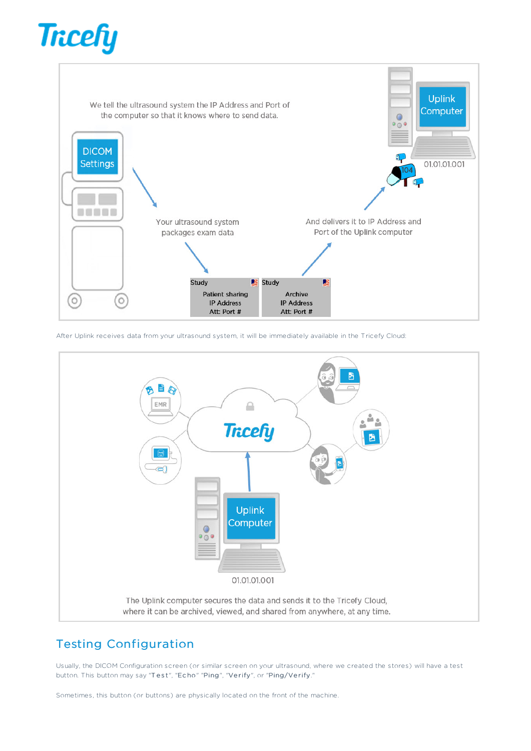



After Uplink receives data from your ultrasound system, it will be immediately available in the Tricefy Cloud:



## Testing Configuration

Usually, the DICOM Configuration screen (or similar screen on your ultrasound, where we created the stores) will have a test button. This button may say "Test", "Echo" "Ping", "Verify", or "Ping/Verify."

Sometimes, this button (or buttons) are physically located on the front of the machine.